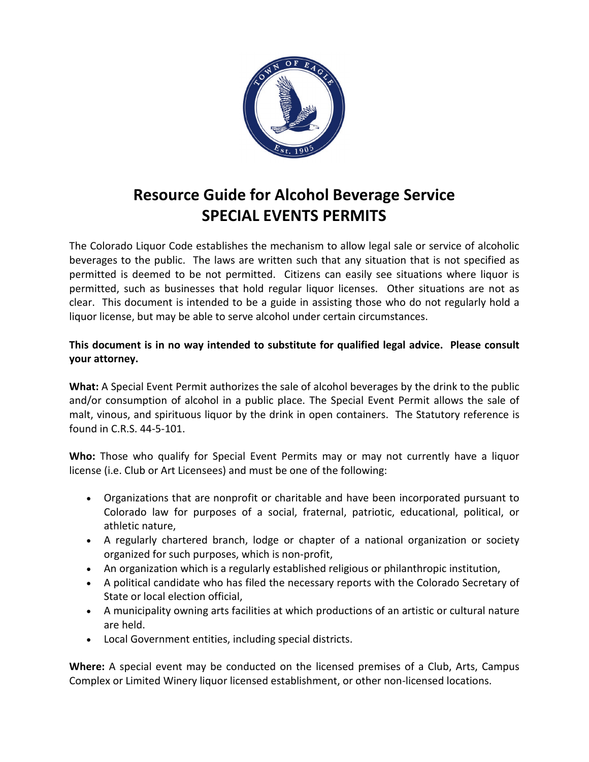# **Resource Guide for Alcohol Beverage Service SPECIAL EVENTS PERMITS**

The Colorado Liquor Code establishes the mechanism to allow legal sale or service of alcoholic beverages to the public. The laws are written such that any situation that is not specified as permitted is deemed to be not permitted. Citizens can easily see situations where liquor is permitted, such as businesses that hold regular liquor licenses. Other situations are not as clear. This document is intended to be a guide in assisting those who do not regularly hold a liquor license, but may be able to serve alcohol under certain circumstances.

# **This document is in no way intended to substitute for qualified legal advice. Please consult your attorney.**

**What:** A Special Event Permit authorizes the sale of alcohol beverages by the drink to the public and/or consumption of alcohol in a public place. The Special Event Permit allows the sale of malt, vinous, and spirituous liquor by the drink in open containers. The Statutory reference is found in C.R.S. 44-5-101.

**Who:** Those who qualify for Special Event Permits may or may not currently have a liquor license (i.e. Club or Art Licensees) and must be one of the following:

- Organizations that are nonprofit or charitable and have been incorporated pursuant to Colorado law for purposes of a social, fraternal, patriotic, educational, political, or athletic nature,
- A regularly chartered branch, lodge or chapter of a national organization or society organized for such purposes, which is non-profit,
- An organization which is a regularly established religious or philanthropic institution,
- A political candidate who has filed the necessary reports with the Colorado Secretary of State or local election official,
- A municipality owning arts facilities at which productions of an artistic or cultural nature are held.
- Local Government entities, including special districts.

**Where:** A special event may be conducted on the licensed premises of a Club, Arts, Campus Complex or Limited Winery liquor licensed establishment, or other non-licensed locations.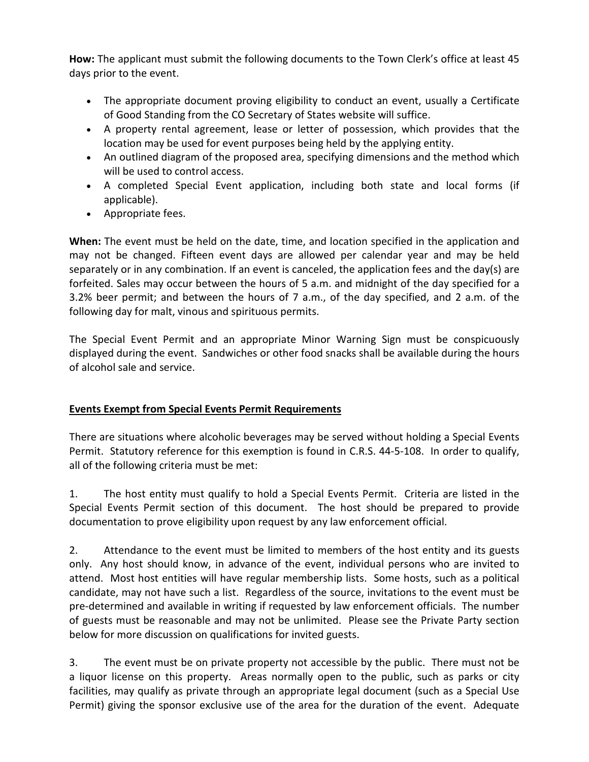**How:** The applicant must submit the following documents to the Town Clerk's office at least 45 days prior to the event.

- The appropriate document proving eligibility to conduct an event, usually a Certificate of Good Standing from the CO Secretary of States website will suffice.
- A property rental agreement, lease or letter of possession, which provides that the location may be used for event purposes being held by the applying entity.
- An outlined diagram of the proposed area, specifying dimensions and the method which will be used to control access.
- A completed Special Event application, including both state and local forms (if applicable).
- Appropriate fees.

**When:** The event must be held on the date, time, and location specified in the application and may not be changed. Fifteen event days are allowed per calendar year and may be held separately or in any combination. If an event is canceled, the application fees and the day(s) are forfeited. Sales may occur between the hours of 5 a.m. and midnight of the day specified for a 3.2% beer permit; and between the hours of 7 a.m., of the day specified, and 2 a.m. of the following day for malt, vinous and spirituous permits.

The Special Event Permit and an appropriate Minor Warning Sign must be conspicuously displayed during the event. Sandwiches or other food snacks shall be available during the hours of alcohol sale and service.

# **Events Exempt from Special Events Permit Requirements**

There are situations where alcoholic beverages may be served without holding a Special Events Permit. Statutory reference for this exemption is found in C.R.S. 44-5-108. In order to qualify, all of the following criteria must be met:

1. The host entity must qualify to hold a Special Events Permit. Criteria are listed in the Special Events Permit section of this document. The host should be prepared to provide documentation to prove eligibility upon request by any law enforcement official.

2. Attendance to the event must be limited to members of the host entity and its guests only. Any host should know, in advance of the event, individual persons who are invited to attend. Most host entities will have regular membership lists. Some hosts, such as a political candidate, may not have such a list. Regardless of the source, invitations to the event must be pre-determined and available in writing if requested by law enforcement officials. The number of guests must be reasonable and may not be unlimited. Please see the Private Party section below for more discussion on qualifications for invited guests.

3. The event must be on private property not accessible by the public. There must not be a liquor license on this property. Areas normally open to the public, such as parks or city facilities, may qualify as private through an appropriate legal document (such as a Special Use Permit) giving the sponsor exclusive use of the area for the duration of the event. Adequate